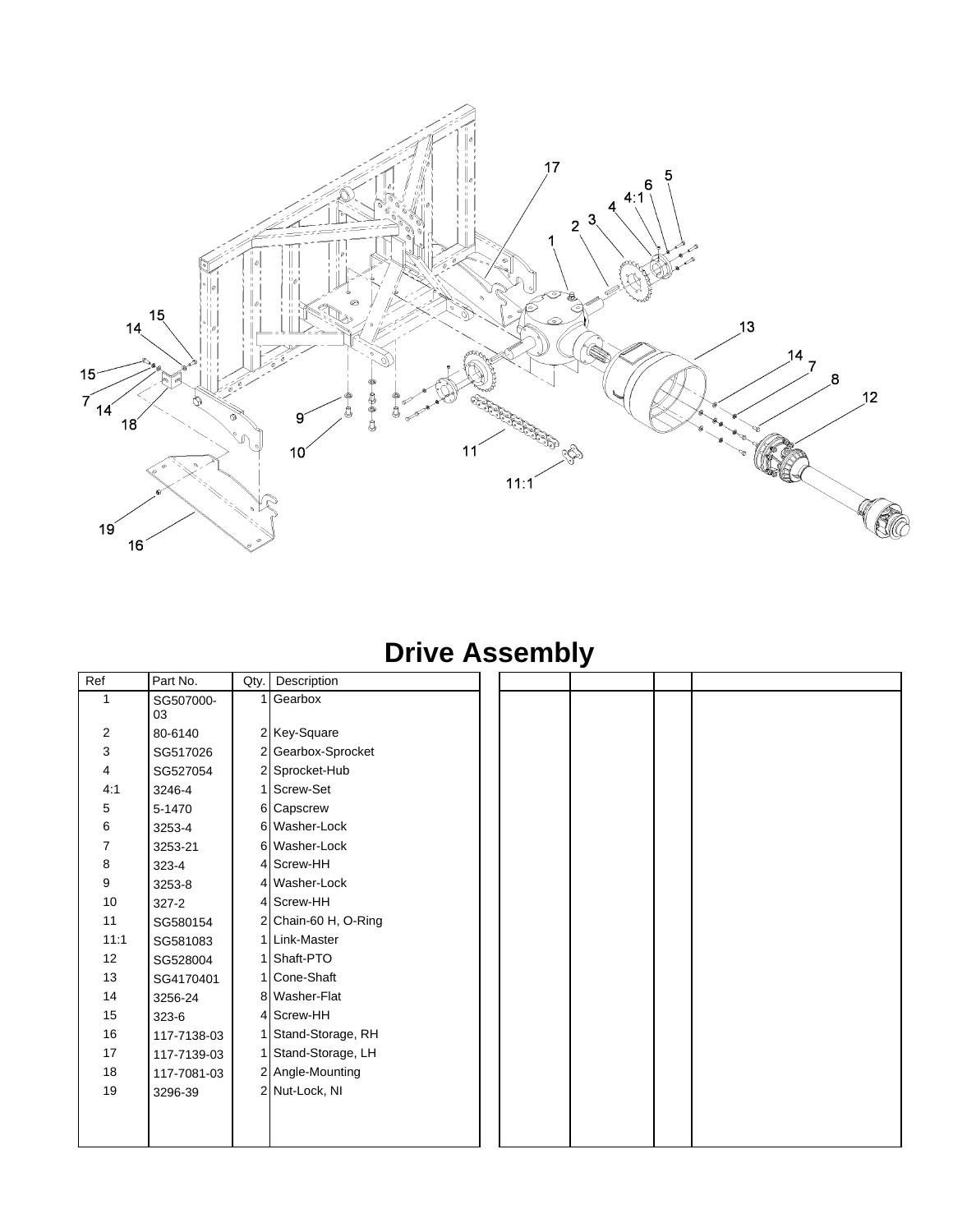

#### **Drive Assembly**

| Ref            | Part No.        | Qty. | Description          |  |  |
|----------------|-----------------|------|----------------------|--|--|
| 1              | SG507000-<br>03 |      | Gearbox              |  |  |
| $\overline{c}$ | 80-6140         |      | 2 Key-Square         |  |  |
| 3              | SG517026        |      | 2 Gearbox-Sprocket   |  |  |
| 4              | SG527054        |      | 2 Sprocket-Hub       |  |  |
| 4:1            | 3246-4          |      | 1 Screw-Set          |  |  |
| 5              | 5-1470          |      | 6 Capscrew           |  |  |
| 6              | 3253-4          |      | 6 Washer-Lock        |  |  |
| 7              | 3253-21         |      | 6 Washer-Lock        |  |  |
| 8              | 323-4           |      | 4 Screw-HH           |  |  |
| 9              | 3253-8          |      | 4 Washer-Lock        |  |  |
| 10             | $327 - 2$       |      | 4 Screw-HH           |  |  |
| 11             | SG580154        |      | 2 Chain-60 H, O-Ring |  |  |
| 11:1           | SG581083        |      | 1 Link-Master        |  |  |
| 12             | SG528004        | 1    | Shaft-PTO            |  |  |
| 13             | SG4170401       |      | 1 Cone-Shaft         |  |  |
| 14             | 3256-24         |      | 8 Washer-Flat        |  |  |
| 15             | 323-6           |      | 4 Screw-HH           |  |  |
| 16             | 117-7138-03     |      | Stand-Storage, RH    |  |  |
| 17             | 117-7139-03     |      | Stand-Storage, LH    |  |  |
| 18             | 117-7081-03     |      | 2 Angle-Mounting     |  |  |
| 19             | 3296-39         |      | 2 Nut-Lock, NI       |  |  |
|                |                 |      |                      |  |  |
|                |                 |      |                      |  |  |
|                |                 |      |                      |  |  |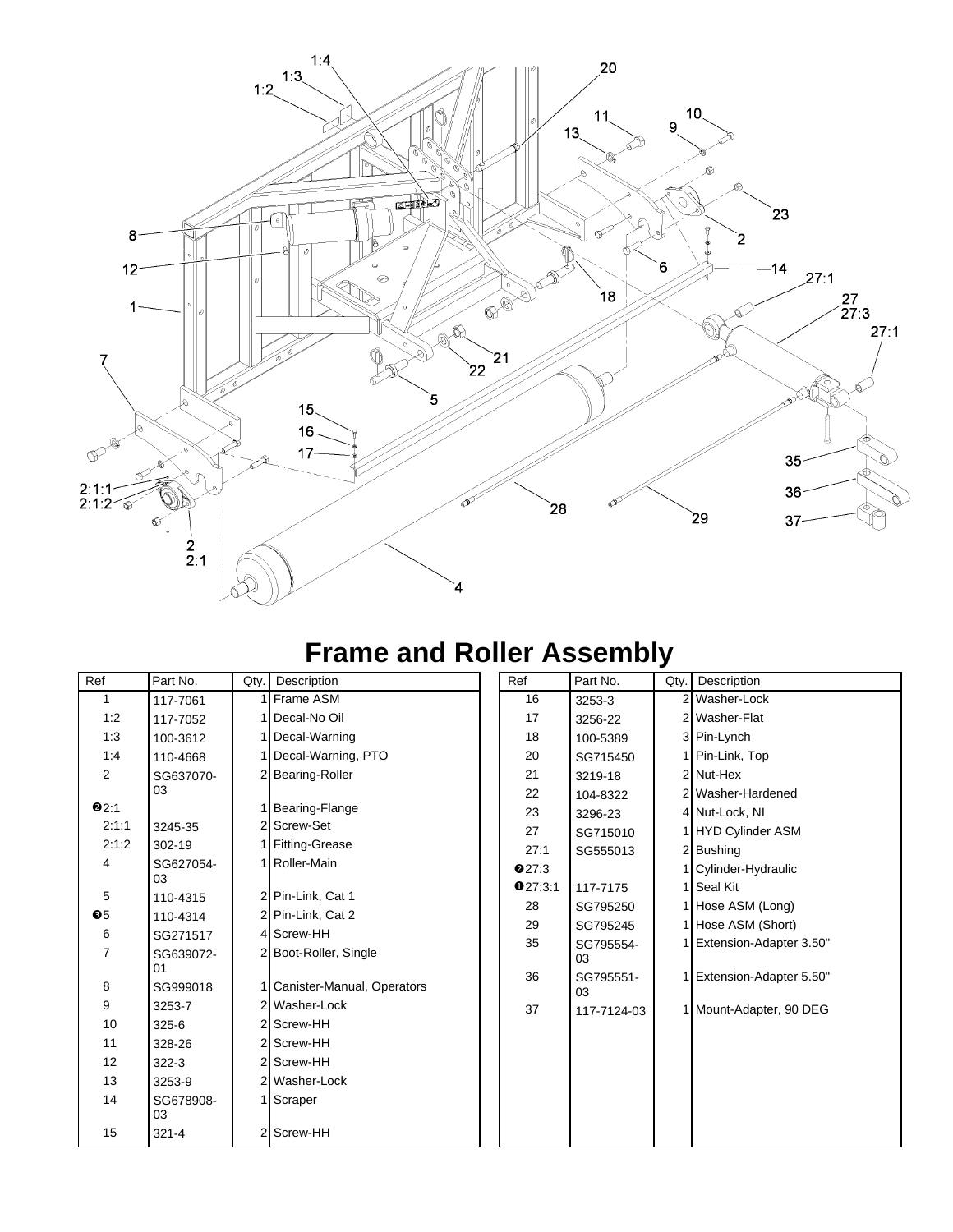

#### **Frame and Roller Assembly**

| Ref           | Part No.        | Qty. | Description                | Ref          | Part No.    | Qty | Description             |
|---------------|-----------------|------|----------------------------|--------------|-------------|-----|-------------------------|
| $\mathbf{1}$  | 117-7061        |      | Frame ASM                  | 16           | 3253-3      |     | 2 Washer-Lock           |
| 1:2           | 117-7052        |      | Decal-No Oil               | 17           | 3256-22     |     | 2 Washer-Flat           |
| 1:3           | 100-3612        |      | 1 Decal-Warning            | 18           | 100-5389    |     | 3 Pin-Lynch             |
| 1:4           | 110-4668        |      | 1 Decal-Warning, PTO       | 20           | SG715450    |     | 1 Pin-Link, Top         |
| 2             | SG637070-       |      | 2 Bearing-Roller           | 21           | 3219-18     |     | 2 Nut-Hex               |
|               | 03              |      |                            | 22           | 104-8322    |     | 2 Washer-Hardened       |
| 92:1          |                 |      | Bearing-Flange             | 23           | 3296-23     |     | 4 Nut-Lock, NI          |
| 2:1:1         | 3245-35         |      | 2 Screw-Set                | 27           | SG715010    |     | <b>HYD Cylinder ASM</b> |
| 2:1:2         | 302-19          |      | I Fitting-Grease           | 27:1         | SG555013    |     | 2 Bushing               |
| 4             | SG627054-       |      | Roller-Main                | <b>027:3</b> |             |     | Cylinder-Hydraulic      |
|               | 03              |      |                            | 027:3:1      | 117-7175    |     | Seal Kit                |
| 5             | 110-4315        |      | 2 Pin-Link, Cat 1          | 28           | SG795250    |     | Hose ASM (Long)         |
| $\mathbf{0}5$ | 110-4314        |      | 2 Pin-Link, Cat 2          | 29           | SG795245    |     | Hose ASM (Short)        |
| 6             | SG271517        |      | 4 Screw-HH                 | 35           | SG795554-   |     | Extension-Adapter 3.50" |
| 7             | SG639072-<br>01 |      | 2 Boot-Roller, Single      |              | 03          |     |                         |
| 8             | SG999018        |      | Canister-Manual, Operators | 36           | SG795551-   |     | Extension-Adapter 5.50" |
| 9             | 3253-7          |      | 2 Washer-Lock              |              | 03          |     |                         |
| 10            | 325-6           |      | 2 Screw-HH                 | 37           | 117-7124-03 |     | 1 Mount-Adapter, 90 DEG |
| 11            |                 |      | 2 Screw-HH                 |              |             |     |                         |
|               | 328-26          |      |                            |              |             |     |                         |
| 12            | $322 - 3$       |      | 2 Screw-HH                 |              |             |     |                         |
| 13            | 3253-9          |      | 2 Washer-Lock              |              |             |     |                         |
| 14            | SG678908-       |      | 1 Scraper                  |              |             |     |                         |
|               | 03              |      |                            |              |             |     |                         |
| 15            | $321 - 4$       |      | 2 Screw-HH                 |              |             |     |                         |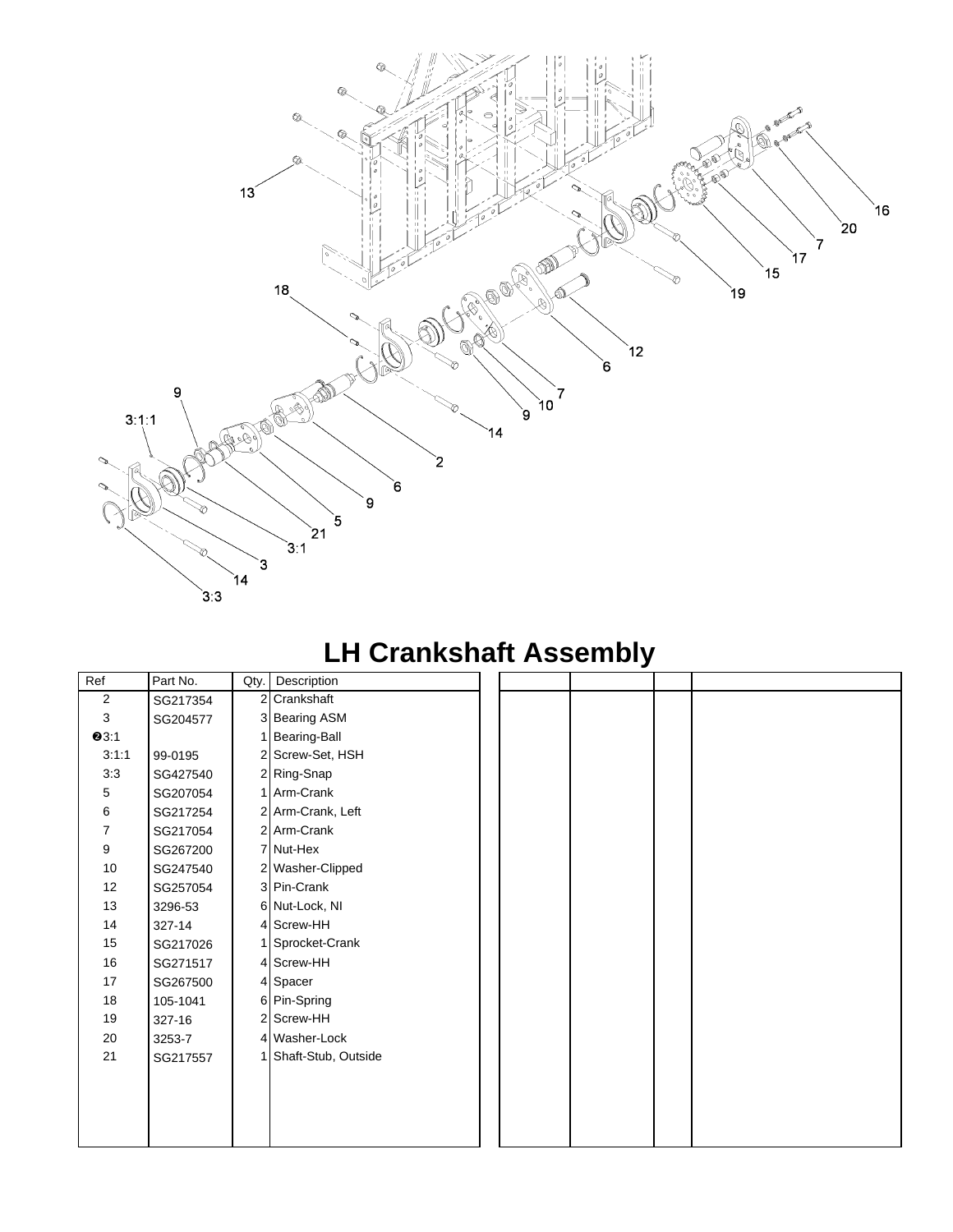

# **LH Crankshaft Assembly**

| Ref            | Part No. |                | Qty. Description    |  |  |
|----------------|----------|----------------|---------------------|--|--|
| $\overline{2}$ | SG217354 | $\overline{2}$ | Crankshaft          |  |  |
| 3              | SG204577 |                | 3 Bearing ASM       |  |  |
| <b>0</b> 3:1   |          |                | <b>Bearing-Ball</b> |  |  |
| 3:1:1          | 99-0195  |                | 2 Screw-Set, HSH    |  |  |
| 3:3            | SG427540 |                | 2 Ring-Snap         |  |  |
| 5              | SG207054 |                | 1 Arm-Crank         |  |  |
| 6              | SG217254 |                | 2 Arm-Crank, Left   |  |  |
| 7              | SG217054 |                | 2 Arm-Crank         |  |  |
| 9              | SG267200 |                | 7 Nut-Hex           |  |  |
| 10             | SG247540 |                | 2 Washer-Clipped    |  |  |
| 12             | SG257054 |                | 3 Pin-Crank         |  |  |
| 13             | 3296-53  |                | 6 Nut-Lock, NI      |  |  |
| 14             | 327-14   |                | 4 Screw-HH          |  |  |
| 15             | SG217026 |                | 1 Sprocket-Crank    |  |  |
| 16             | SG271517 |                | 4 Screw-HH          |  |  |
| 17             | SG267500 |                | 4 Spacer            |  |  |
| 18             | 105-1041 |                | 6 Pin-Spring        |  |  |
| 19             | 327-16   |                | 2 Screw-HH          |  |  |
| 20             | 3253-7   |                | 4 Washer-Lock       |  |  |
| 21             | SG217557 |                | Shaft-Stub, Outside |  |  |
|                |          |                |                     |  |  |
|                |          |                |                     |  |  |
|                |          |                |                     |  |  |
|                |          |                |                     |  |  |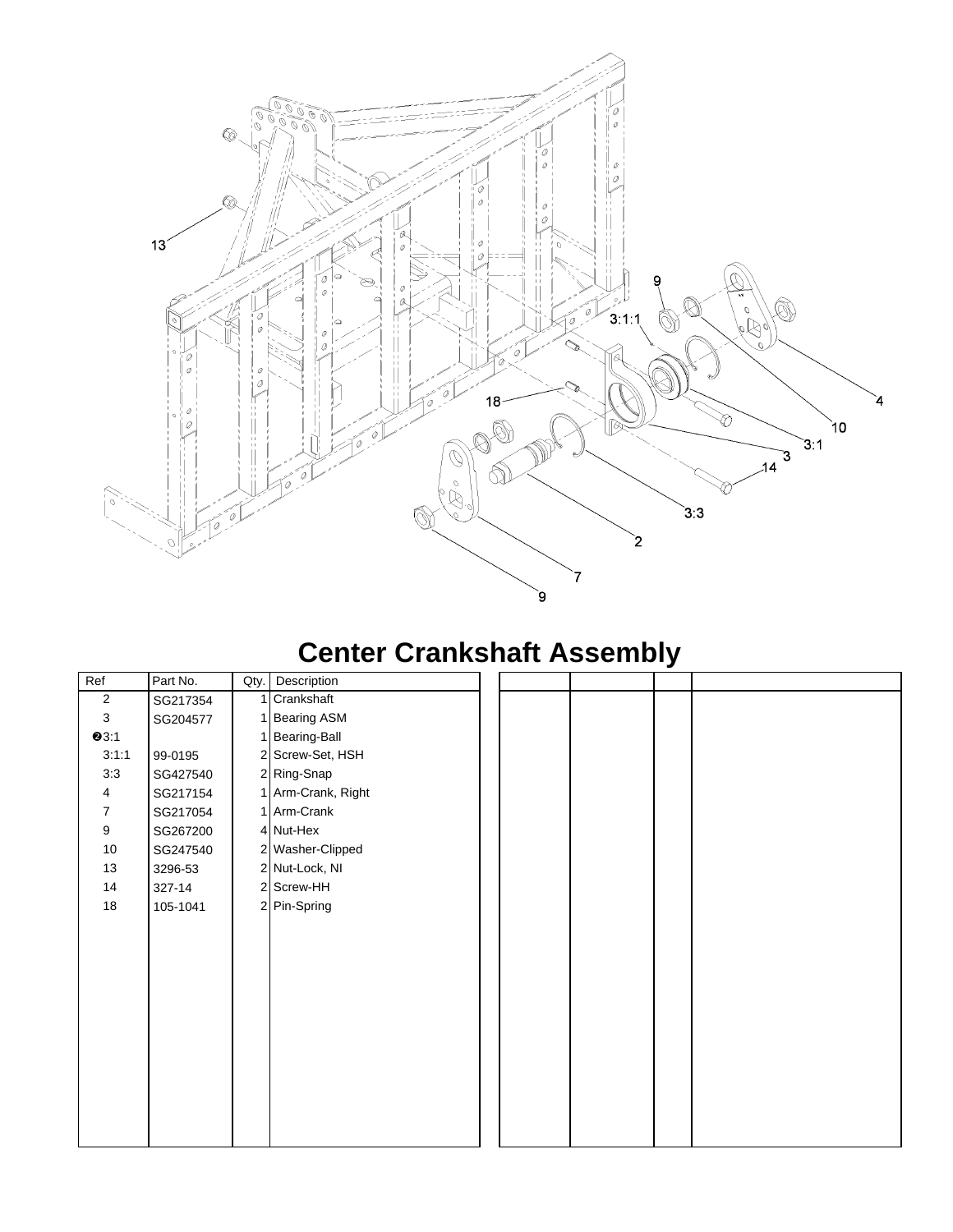

#### **Center Crankshaft Assembly**

| Ref            | Part No. | Qty. | Description        |  |  |
|----------------|----------|------|--------------------|--|--|
| $\sqrt{2}$     | SG217354 |      | 1 Crankshaft       |  |  |
| $\mathbf{3}$   | SG204577 |      | 1 Bearing ASM      |  |  |
| Q3:1           |          |      | 1 Bearing-Ball     |  |  |
| 3:1:1          | 99-0195  |      | 2 Screw-Set, HSH   |  |  |
| 3:3            | SG427540 |      | 2 Ring-Snap        |  |  |
| 4              | SG217154 |      | 1 Arm-Crank, Right |  |  |
| $\overline{7}$ | SG217054 |      | 1 Arm-Crank        |  |  |
| 9              | SG267200 |      | 4 Nut-Hex          |  |  |
| $10$           | SG247540 |      | 2 Washer-Clipped   |  |  |
| 13             | 3296-53  |      | 2 Nut-Lock, NI     |  |  |
| 14             | 327-14   |      | 2 Screw-HH         |  |  |
| 18             | 105-1041 |      | 2 Pin-Spring       |  |  |
|                |          |      |                    |  |  |
|                |          |      |                    |  |  |
|                |          |      |                    |  |  |
|                |          |      |                    |  |  |
|                |          |      |                    |  |  |
|                |          |      |                    |  |  |
|                |          |      |                    |  |  |
|                |          |      |                    |  |  |
|                |          |      |                    |  |  |
|                |          |      |                    |  |  |
|                |          |      |                    |  |  |
|                |          |      |                    |  |  |
|                |          |      |                    |  |  |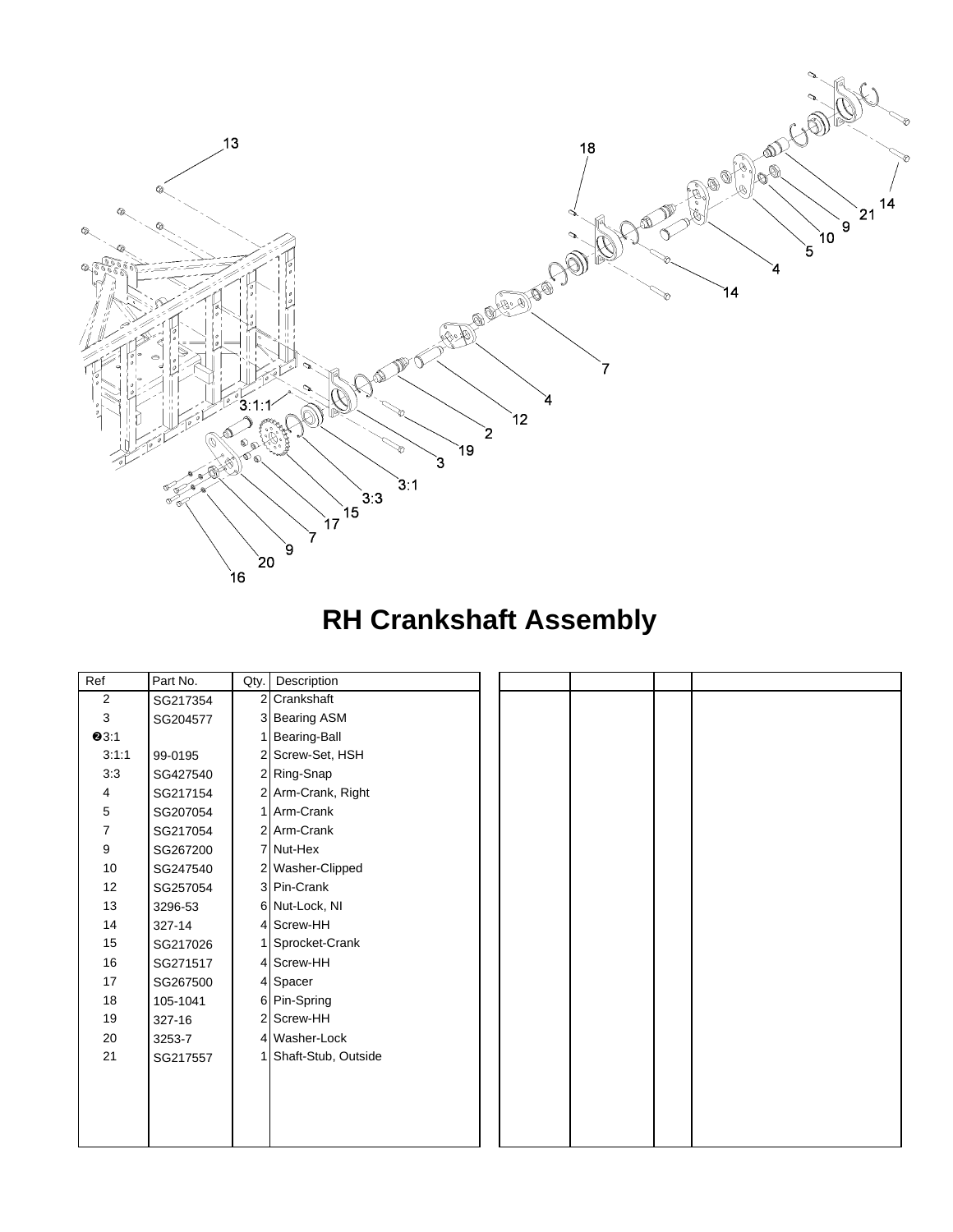

## **RH Crankshaft Assembly**

| Ref            | Part No. | Qty.           | Description         |  |  |  |
|----------------|----------|----------------|---------------------|--|--|--|
| $\mathbf 2$    | SG217354 | $\overline{2}$ | Crankshaft          |  |  |  |
| 3              | SG204577 |                | 3 Bearing ASM       |  |  |  |
| <b>0</b> 3:1   |          |                | Bearing-Ball        |  |  |  |
| 3:1:1          | 99-0195  |                | 2 Screw-Set, HSH    |  |  |  |
| 3:3            | SG427540 |                | 2 Ring-Snap         |  |  |  |
| 4              | SG217154 |                | 2 Arm-Crank, Right  |  |  |  |
| 5              | SG207054 |                | 1 Arm-Crank         |  |  |  |
| $\overline{7}$ | SG217054 |                | 2 Arm-Crank         |  |  |  |
| 9              | SG267200 |                | 7 Nut-Hex           |  |  |  |
| 10             | SG247540 |                | 2 Washer-Clipped    |  |  |  |
| 12             | SG257054 |                | 3 Pin-Crank         |  |  |  |
| 13             | 3296-53  |                | 6 Nut-Lock, NI      |  |  |  |
| 14             | 327-14   |                | 4 Screw-HH          |  |  |  |
| 15             | SG217026 |                | 1 Sprocket-Crank    |  |  |  |
| 16             | SG271517 |                | 4 Screw-HH          |  |  |  |
| 17             | SG267500 |                | 4 Spacer            |  |  |  |
| 18             | 105-1041 |                | 6 Pin-Spring        |  |  |  |
| 19             | 327-16   |                | 2 Screw-HH          |  |  |  |
| 20             | 3253-7   |                | 4 Washer-Lock       |  |  |  |
| 21             | SG217557 |                | Shaft-Stub, Outside |  |  |  |
|                |          |                |                     |  |  |  |
|                |          |                |                     |  |  |  |
|                |          |                |                     |  |  |  |
|                |          |                |                     |  |  |  |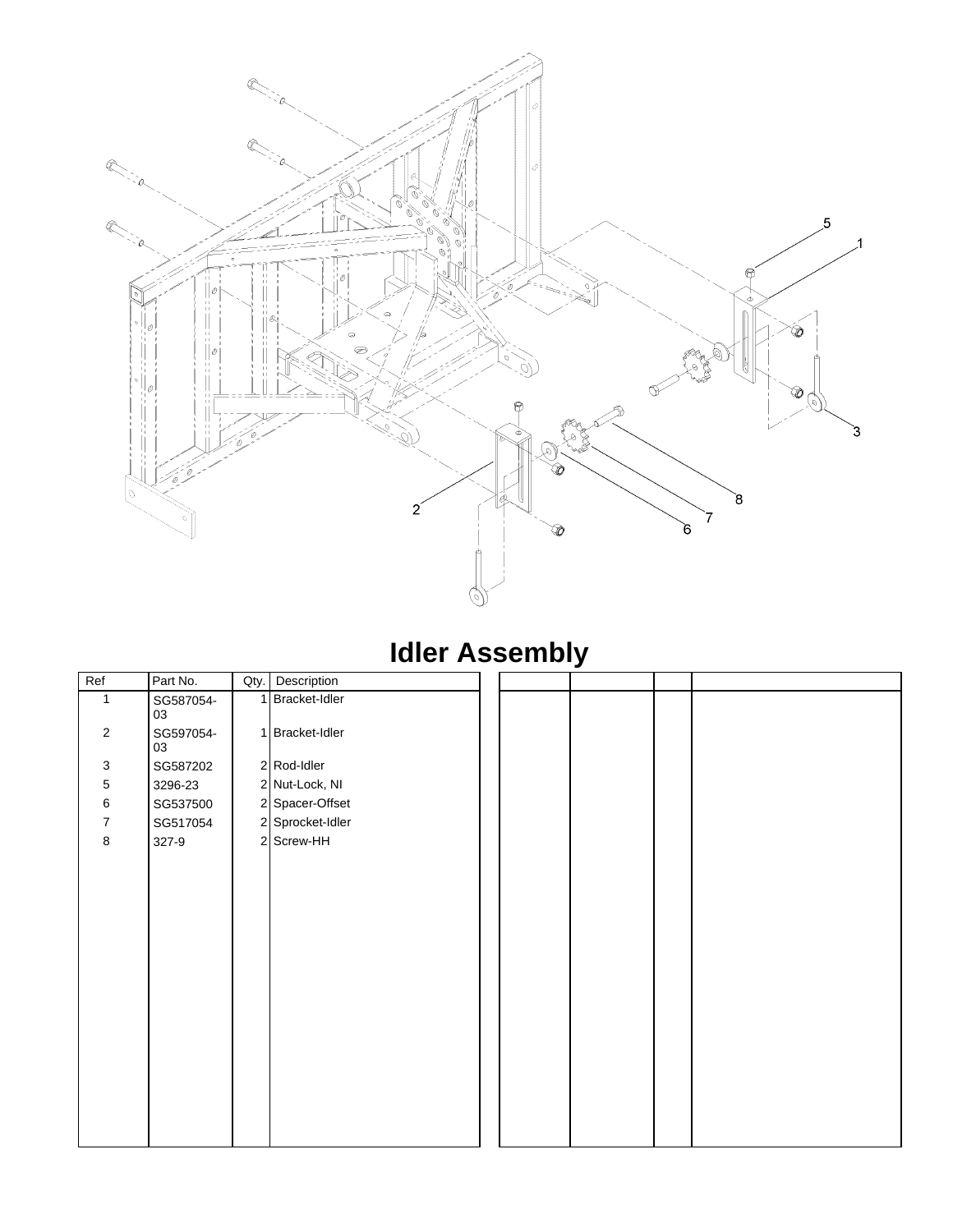

## **Idler Assembly**

| Ref            | Part No.        |   | Qty. Description |  |  |
|----------------|-----------------|---|------------------|--|--|
| $\mathbf{1}$   | SG587054-<br>03 | 1 | Bracket-Idler    |  |  |
| $\overline{2}$ | SG597054-<br>03 |   | 1 Bracket-Idler  |  |  |
| $\mathbf 3$    | SG587202        |   | 2 Rod-Idler      |  |  |
| $\,$ 5 $\,$    | 3296-23         |   | 2 Nut-Lock, NI   |  |  |
| 6              | SG537500        |   | 2 Spacer-Offset  |  |  |
| $\overline{7}$ | SG517054        |   | 2 Sprocket-Idler |  |  |
| 8              | 327-9           |   | 2 Screw-HH       |  |  |
|                |                 |   |                  |  |  |
|                |                 |   |                  |  |  |
|                |                 |   |                  |  |  |
|                |                 |   |                  |  |  |
|                |                 |   |                  |  |  |
|                |                 |   |                  |  |  |
|                |                 |   |                  |  |  |
|                |                 |   |                  |  |  |
|                |                 |   |                  |  |  |
|                |                 |   |                  |  |  |
|                |                 |   |                  |  |  |
|                |                 |   |                  |  |  |
|                |                 |   |                  |  |  |
|                |                 |   |                  |  |  |
|                |                 |   |                  |  |  |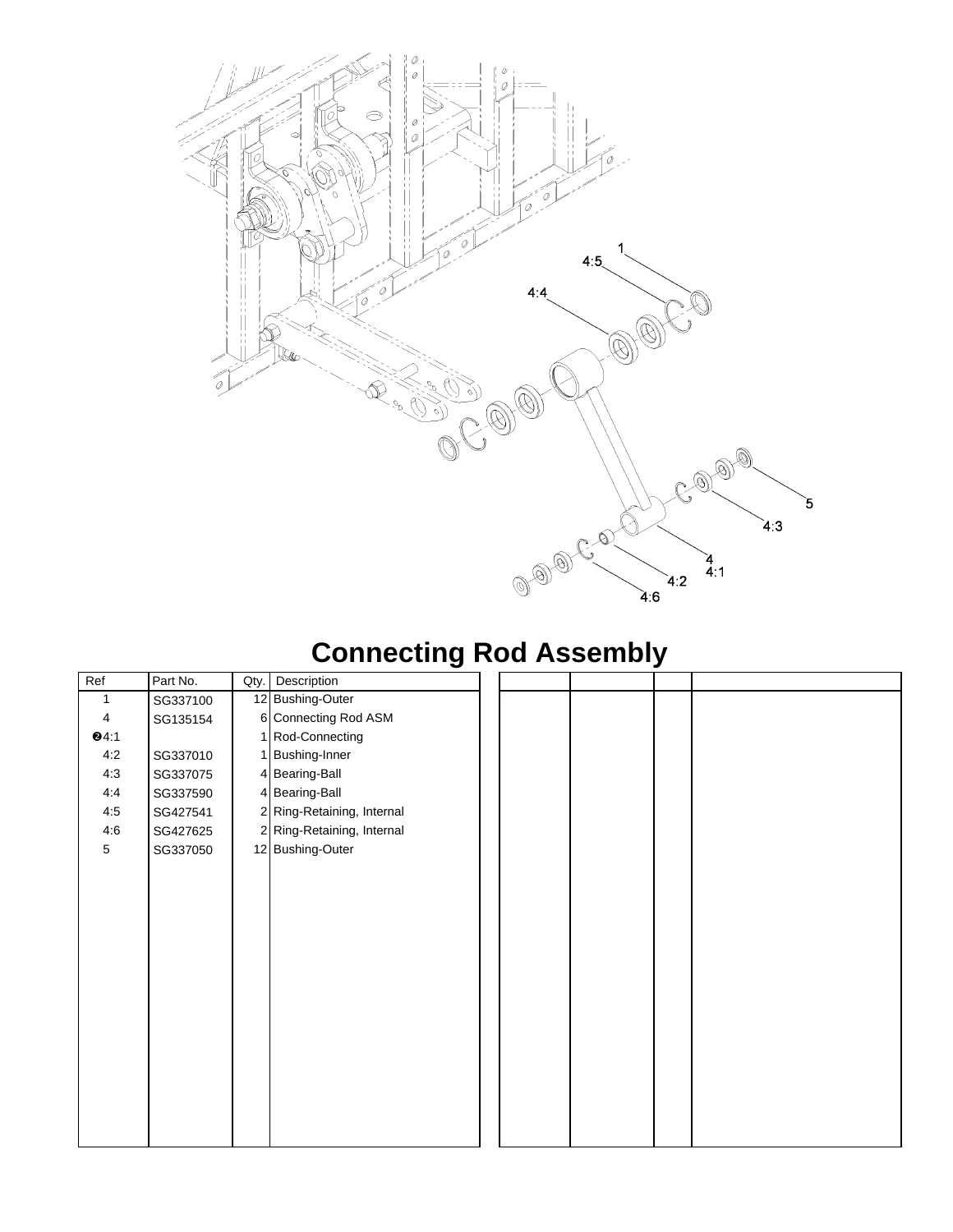

# **Connecting Rod Assembly**

| Ref             | Part No. | Qty. | Description                |  |  |
|-----------------|----------|------|----------------------------|--|--|
| 1               | SG337100 |      | 12 Bushing-Outer           |  |  |
| $\overline{4}$  | SG135154 |      | 6 Connecting Rod ASM       |  |  |
| 94:1            |          |      | 1 Rod-Connecting           |  |  |
| 4:2             | SG337010 |      | 1 Bushing-Inner            |  |  |
| 4:3             | SG337075 |      | 4 Bearing-Ball             |  |  |
| 4:4             | SG337590 |      | 4 Bearing-Ball             |  |  |
| 4:5             | SG427541 |      | 2 Ring-Retaining, Internal |  |  |
| 4:6             | SG427625 |      | 2 Ring-Retaining, Internal |  |  |
| $5\phantom{.0}$ | SG337050 |      | 12 Bushing-Outer           |  |  |
|                 |          |      |                            |  |  |
|                 |          |      |                            |  |  |
|                 |          |      |                            |  |  |
|                 |          |      |                            |  |  |
|                 |          |      |                            |  |  |
|                 |          |      |                            |  |  |
|                 |          |      |                            |  |  |
|                 |          |      |                            |  |  |
|                 |          |      |                            |  |  |
|                 |          |      |                            |  |  |
|                 |          |      |                            |  |  |
|                 |          |      |                            |  |  |
|                 |          |      |                            |  |  |
|                 |          |      |                            |  |  |
|                 |          |      |                            |  |  |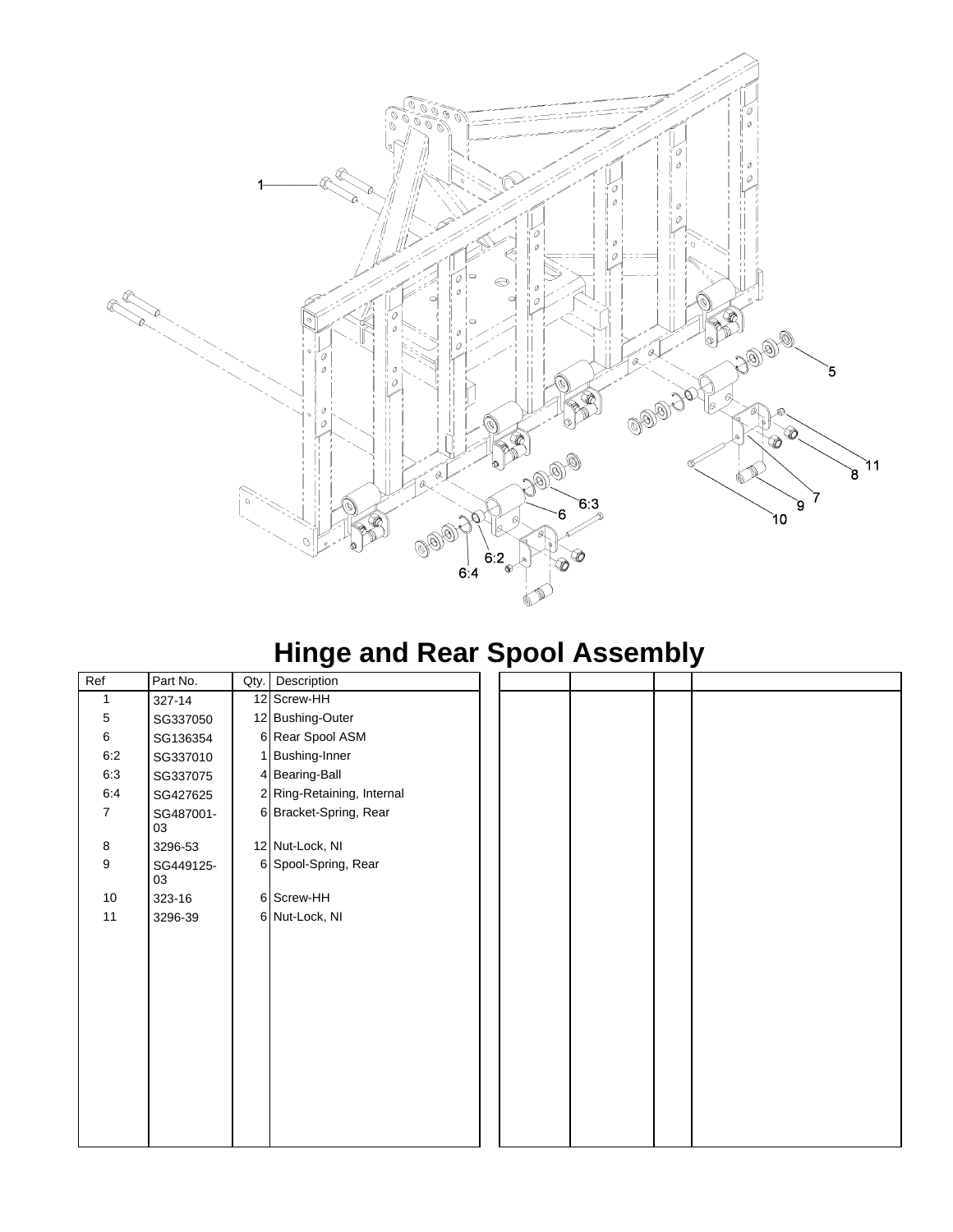

## **Hinge and Rear Spool Assembly**

| Ref            | Part No.        | Qty. | Description                |  |  |
|----------------|-----------------|------|----------------------------|--|--|
| 1              | 327-14          |      | 12 Screw-HH                |  |  |
| 5              | SG337050        |      | 12 Bushing-Outer           |  |  |
| 6              | SG136354        |      | 6 Rear Spool ASM           |  |  |
| 6:2            | SG337010        |      | 1 Bushing-Inner            |  |  |
| 6:3            | SG337075        |      | 4 Bearing-Ball             |  |  |
| 6:4            | SG427625        |      | 2 Ring-Retaining, Internal |  |  |
| $\overline{7}$ | SG487001-<br>03 |      | 6 Bracket-Spring, Rear     |  |  |
| 8              | 3296-53         |      | 12 Nut-Lock, NI            |  |  |
| 9              | SG449125-<br>03 |      | 6 Spool-Spring, Rear       |  |  |
| 10             | 323-16          |      | 6 Screw-HH                 |  |  |
| 11             | 3296-39         |      | 6 Nut-Lock, NI             |  |  |
|                |                 |      |                            |  |  |
|                |                 |      |                            |  |  |
|                |                 |      |                            |  |  |
|                |                 |      |                            |  |  |
|                |                 |      |                            |  |  |
|                |                 |      |                            |  |  |
|                |                 |      |                            |  |  |
|                |                 |      |                            |  |  |
|                |                 |      |                            |  |  |
|                |                 |      |                            |  |  |
|                |                 |      |                            |  |  |
|                |                 |      |                            |  |  |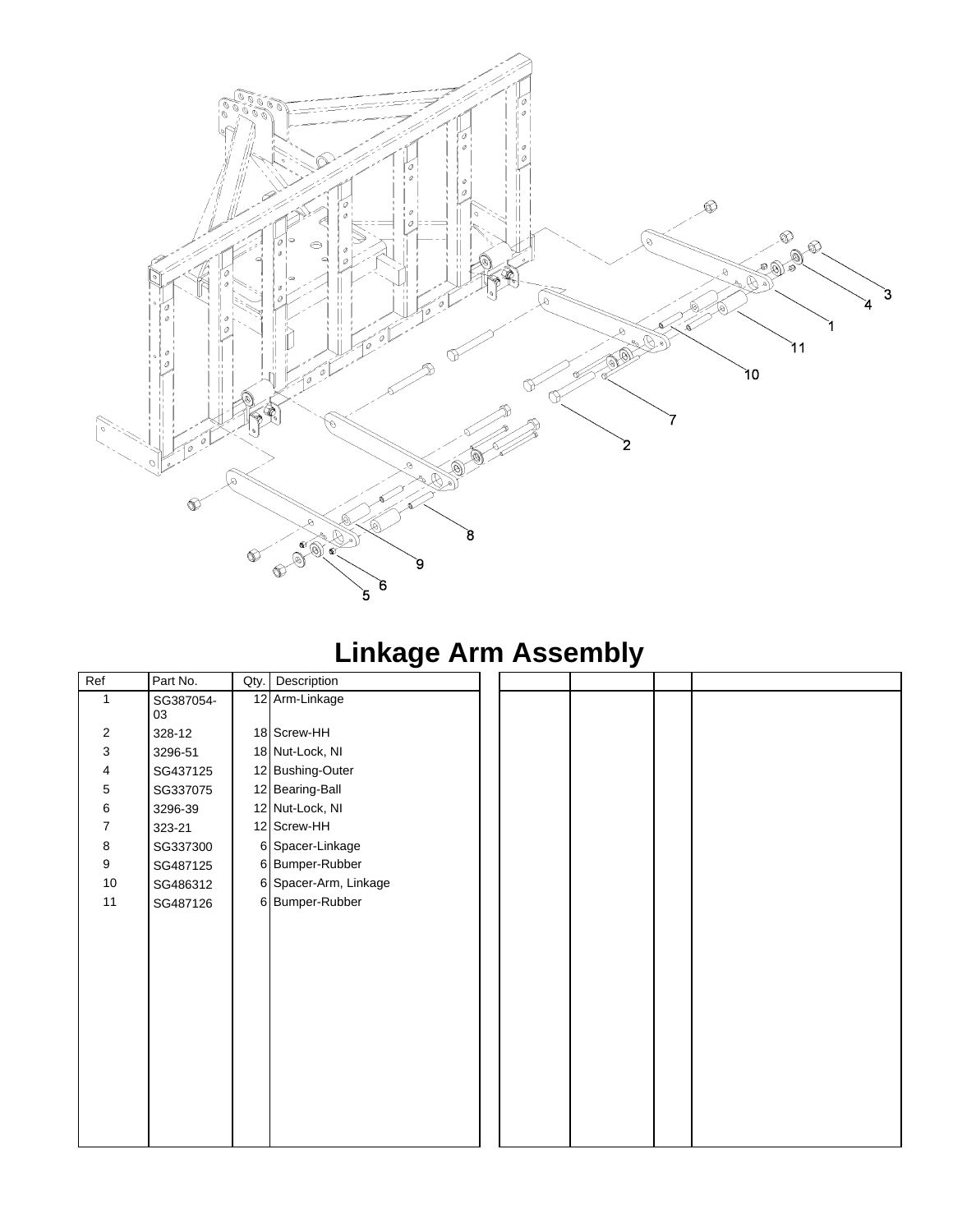

# **Linkage Arm Assembly**

| Ref                       | Part No.        | Qty. | Description           |  |  |
|---------------------------|-----------------|------|-----------------------|--|--|
| $\mathbf{1}$              | SG387054-<br>03 |      | 12 Arm-Linkage        |  |  |
| $\sqrt{2}$                | 328-12          |      | 18 Screw-HH           |  |  |
| $\ensuremath{\mathsf{3}}$ | 3296-51         |      | 18 Nut-Lock, NI       |  |  |
| $\overline{\mathbf{4}}$   | SG437125        |      | 12 Bushing-Outer      |  |  |
| $\,$ 5 $\,$               | SG337075        |      | 12 Bearing-Ball       |  |  |
| 6                         | 3296-39         |      | 12 Nut-Lock, NI       |  |  |
| 7                         | 323-21          |      | 12 Screw-HH           |  |  |
| 8                         | SG337300        |      | 6 Spacer-Linkage      |  |  |
| $\boldsymbol{9}$          | SG487125        |      | 6 Bumper-Rubber       |  |  |
| $10\,$                    | SG486312        |      | 6 Spacer-Arm, Linkage |  |  |
| 11                        | SG487126        |      | 6 Bumper-Rubber       |  |  |
|                           |                 |      |                       |  |  |
|                           |                 |      |                       |  |  |
|                           |                 |      |                       |  |  |
|                           |                 |      |                       |  |  |
|                           |                 |      |                       |  |  |
|                           |                 |      |                       |  |  |
|                           |                 |      |                       |  |  |
|                           |                 |      |                       |  |  |
|                           |                 |      |                       |  |  |
|                           |                 |      |                       |  |  |
|                           |                 |      |                       |  |  |
|                           |                 |      |                       |  |  |
|                           |                 |      |                       |  |  |